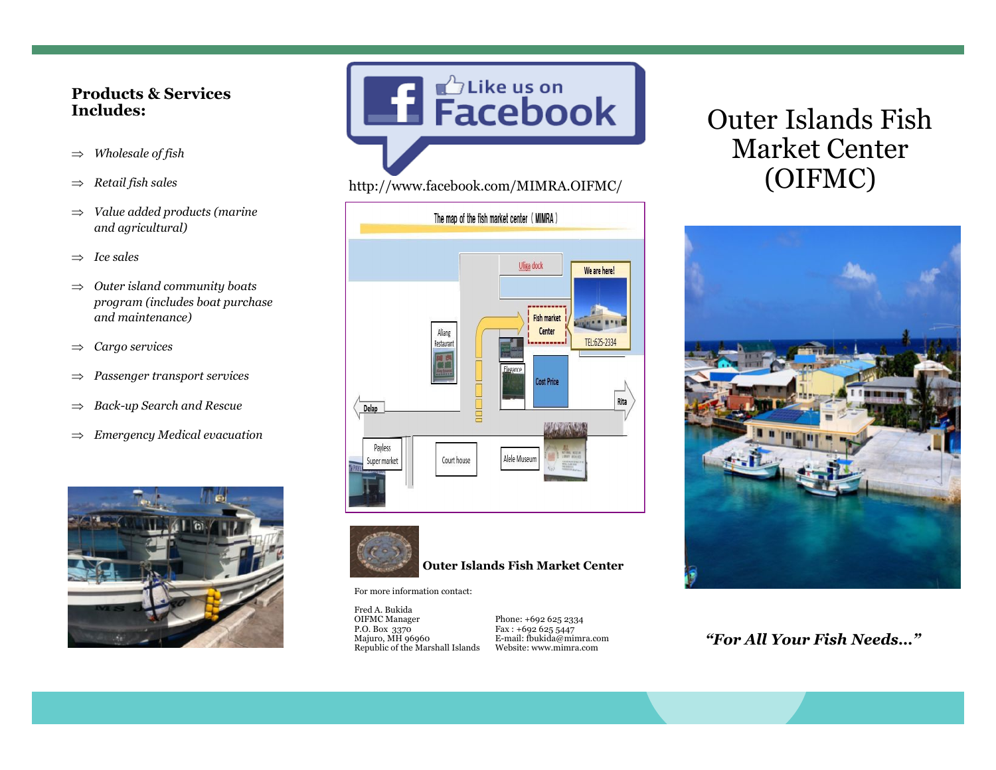#### **Products & Services Includes:**

- *Wholesale of fish*
- *Retail fish sales*
- *Value added products (marine and agricultural)*
- $\Rightarrow$  *Ice sales*
- *Outer island community boats program (includes boat purchase and maintenance)*
- *Cargo services*
- *Passenger transport services*
- *Back-up Search and Rescue*
- *Emergency Medical evacuation*



**Example 1** Facebook

#### http://www.facebook.com/MIMRA.OIFMC/





#### **Outer Islands Fish Market Center**

For more information contact:

Fred A. Bukida OIFMC Manager P.O. Box 3370 Majuro, MH 96960 Republic of the Marshall Islands

Phone: +692 625 2334 Fax : +692 625 5447 E-mail: fbukida@mimra.com Website: www.mimra.com

# Outer Islands Fish Market Center (OIFMC)



*"For All Your Fish Needs…"*